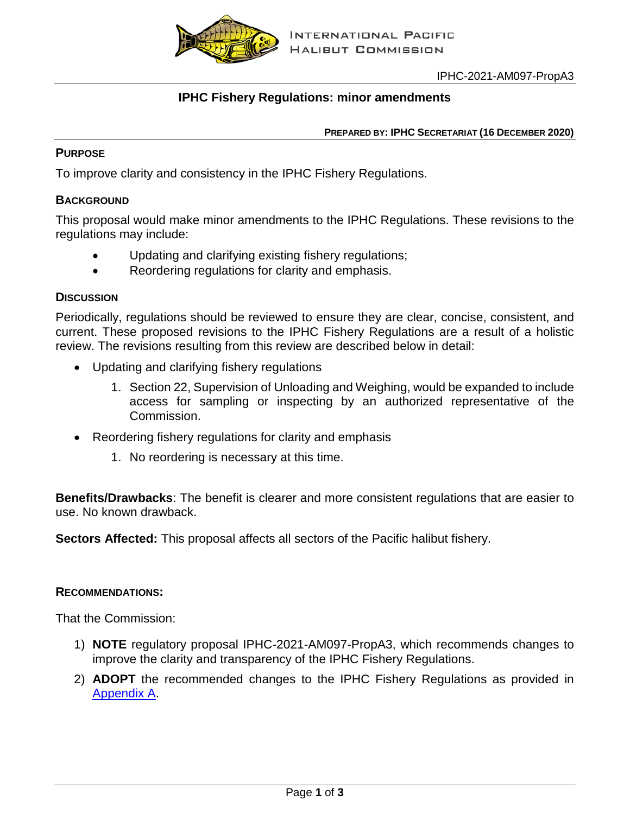

# **IPHC Fishery Regulations: minor amendments**

#### **PREPARED BY: IPHC SECRETARIAT (16 DECEMBER 2020)**

## **PURPOSE**

To improve clarity and consistency in the IPHC Fishery Regulations.

## **BACKGROUND**

This proposal would make minor amendments to the IPHC Regulations. These revisions to the regulations may include:

- Updating and clarifying existing fishery regulations;
- Reordering regulations for clarity and emphasis.

## **DISCUSSION**

Periodically, regulations should be reviewed to ensure they are clear, concise, consistent, and current. These proposed revisions to the IPHC Fishery Regulations are a result of a holistic review. The revisions resulting from this review are described below in detail:

- Updating and clarifying fishery regulations
	- 1. Section 22, Supervision of Unloading and Weighing, would be expanded to include access for sampling or inspecting by an authorized representative of the Commission.
- Reordering fishery regulations for clarity and emphasis
	- 1. No reordering is necessary at this time.

**Benefits/Drawbacks**: The benefit is clearer and more consistent regulations that are easier to use. No known drawback.

**Sectors Affected:** This proposal affects all sectors of the Pacific halibut fishery.

#### **RECOMMENDATIONS:**

That the Commission:

- 1) **NOTE** regulatory proposal IPHC-2021-AM097-PropA3, which recommends changes to improve the clarity and transparency of the IPHC Fishery Regulations.
- 2) **ADOPT** the recommended changes to the IPHC Fishery Regulations as provided in [Appendix A.](#page-2-0)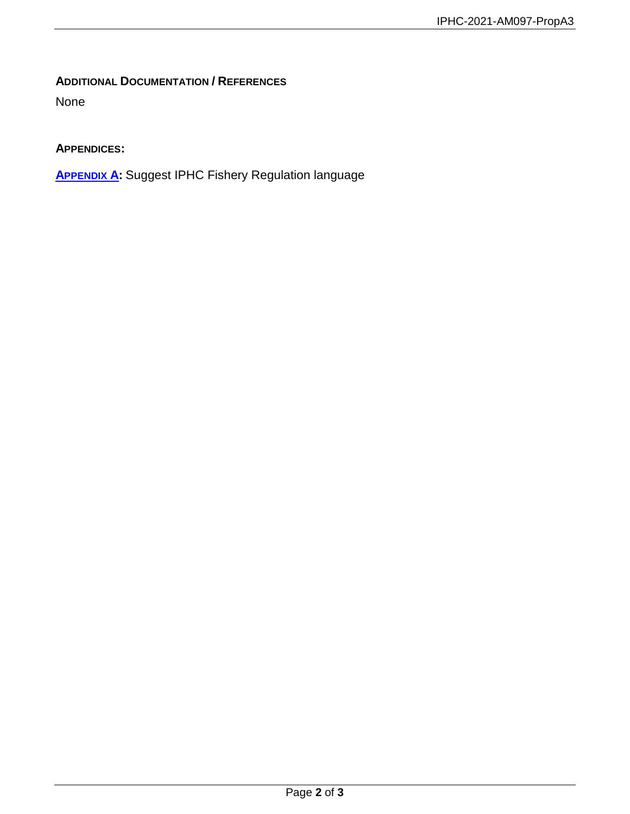# **ADDITIONAL DOCUMENTATION / REFERENCES**

None

# **APPENDICES:**

**[APPENDIX A:](#page-2-0)** Suggest IPHC Fishery Regulation language